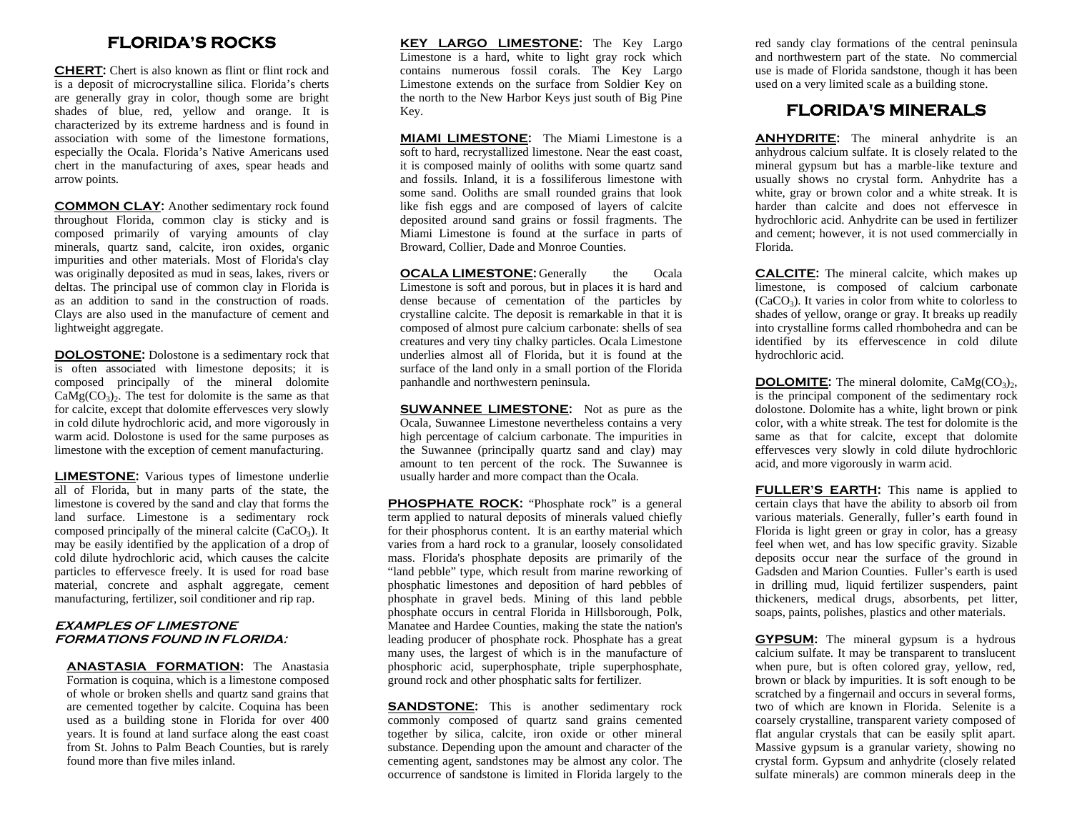# **FLORIDA'S ROCKS**

**CHERT:** Chert is also known as flint or flint rock and is a deposit of microcrystalline silica. Florida's cherts are generally gray in color, though some are bright shades of blue, red, yellow and orange. It is characterized by its extreme hardness and is found in association with some of the limestone formations, especially the Ocala. Florida's Native Americans used chert in the manufacturing of axes, spear heads and arrow points.

**COMMON CLAY:** Another sedimentary rock found throughout Florida, common clay is sticky and is composed primarily of varying amounts of clay minerals, quartz sand, calcite, iron oxides, organic impurities and other materials. Most of Florida's clay was originally deposited as mud in seas, lakes, rivers or deltas. The principal use of common clay in Florida is as an addition to sand in the construction of roads. Clays are also used in the manufacture of cement and lightweight aggregate.

**DOLOSTONE:** Dolostone is a sedimentary rock that is often associated with limestone deposits; it is composed principally of the mineral dolomite  $CaMg(CO<sub>3</sub>)$ . The test for dolomite is the same as that for calcite, except that dolomite effervesces very slowly in cold dilute hydrochloric acid, and more vigorously in warm acid. Dolostone is used for the same purposes as limestone with the exception of cement manufacturing.

**LIMESTONE:** Various types of limestone underlie all of Florida, but in many parts of the state, the limestone is covered by the sand and clay that forms the land surface. Limestone is a sedimentary rock composed principally of the mineral calcite  $(CaCO<sub>3</sub>)$ . It may be easily identified by the application of a drop of cold dilute hydrochloric acid, which causes the calcite particles to effervesce freely. It is used for road base material, concrete and asphalt aggregate, cement manufacturing, fertilizer, soil conditioner and rip rap.

## **EXAMPLES OF LIMESTONE FORMATIONS FOUND IN FLORIDA:**

**ANASTASIA FORMATION:** The Anastasia Formation is coquina, which is a limestone composed of whole or broken shells and quartz sand grains that are cemented together by calcite. Coquina has been used as a building stone in Florida for over 400 years. It is found at land surface along the east coast from St. Johns to Palm Beach Counties, but is rarely found more than five miles inland.

**KEY LARGO LIMESTONE:** The Key Largo Limestone is a hard, white to light gray rock which contains numerous fossil corals. The Key Largo Limestone extends on the surface from Soldier Key on the north to the New Harbor Keys just south of Big Pine Key.

**MIAMI LIMESTONE:** The Miami Limestone is a soft to hard, recrystallized limestone. Near the east coast, it is composed mainly of ooliths with some quartz sand and fossils. Inland, it is a fossiliferous limestone with some sand. Ooliths are small rounded grains that look like fish eggs and are composed of layers of calcite deposited around sand grains or fossil fragments. The Miami Limestone is found at the surface in parts of Broward, Collier, Dade and Monroe Counties.

**OCALA LIMESTONE:** Generally the Ocala Limestone is soft and porous, but in places it is hard and dense because of cementation of the particles by crystalline calcite. The deposit is remarkable in that it is composed of almost pure calcium carbonate: shells of sea creatures and very tiny chalky particles. Ocala Limestone underlies almost all of Florida, but it is found at the surface of the land only in a small portion of the Florida panhandle and northwestern peninsula.

**SUWANNEE LIMESTONE:** Not as pure as the Ocala, Suwannee Limestone nevertheless contains a very high percentage of calcium carbonate. The impurities in the Suwannee (principally quartz sand and clay) may amount to ten percent of the rock. The Suwannee is usually harder and more compact than the Ocala.

**PHOSPHATE ROCK:** "Phosphate rock" is a general term applied to natural deposits of minerals valued chiefly for their phosphorus content. It is an earthy material which varies from a hard rock to a granular, loosely consolidated mass. Florida's phosphate deposits are primarily of the "land pebble" type, which result from marine reworking of phosphatic limestones and deposition of hard pebbles of phosphate in gravel beds. Mining of this land pebble phosphate occurs in central Florida in Hillsborough, Polk, Manatee and Hardee Counties, making the state the nation's leading producer of phosphate rock. Phosphate has a great many uses, the largest of which is in the manufacture of phosphoric acid, superphosphate, triple superphosphate, ground rock and other phosphatic salts for fertilizer.

**SANDSTONE:** This is another sedimentary rock commonly composed of quartz sand grains cemented together by silica, calcite, iron oxide or other mineral substance. Depending upon the amount and character of the cementing agent, sandstones may be almost any color. The occurrence of sandstone is limited in Florida largely to the

red sandy clay formations of the central peninsula and northwestern part of the state. No commercial use is made of Florida sandstone, though it has been used on a very limited scale as a building stone.

## **FLORIDA'S MINERALS**

**ANHYDRITE:** The mineral anhydrite is an anhydrous calcium sulfate. It is closely related to the mineral gypsum but has a marble-like texture and usually shows no crystal form. Anhydrite has a white, gray or brown color and a white streak. It is harder than calcite and does not effervesce in hydrochloric acid. Anhydrite can be used in fertilizer and cement; however, it is not used commercially in Florida.

**CALCITE:** The mineral calcite, which makes up limestone, is composed of calcium carbonate  $(CaCO<sub>3</sub>)$ . It varies in color from white to colorless to shades of yellow, orange or gray. It breaks up readily into crystalline forms called rhombohedra and can be identified by its effervescence in cold dilute hydrochloric acid.

**DOLOMITE:** The mineral dolomite,  $\text{CaMg(CO<sub>3</sub>)}_{2}$ , is the principal component of the sedimentary rock dolostone. Dolomite has a white, light brown or pink color, with a white streak. The test for dolomite is the same as that for calcite, except that dolomite effervesces very slowly in cold dilute hydrochloric acid, and more vigorously in warm acid.

**FULLER'S EARTH:** This name is applied to certain clays that have the ability to absorb oil from various materials. Generally, fuller's earth found in Florida is light green or gray in color, has a greasy feel when wet, and has low specific gravity. Sizable deposits occur near the surface of the ground in Gadsden and Marion Counties. Fuller's earth is used in drilling mud, liquid fertilizer suspenders, paint thickeners, medical drugs, absorbents, pet litter, soaps, paints, polishes, plastics and other materials.

**GYPSUM:** The mineral gypsum is a hydrous calcium sulfate. It may be transparent to translucent when pure, but is often colored gray, yellow, red, brown or black by impurities. It is soft enough to be scratched by a fingernail and occurs in several forms, two of which are known in Florida. Selenite is a coarsely crystalline, transparent variety composed of flat angular crystals that can be easily split apart. Massive gypsum is a granular variety, showing no crystal form. Gypsum and anhydrite (closely related sulfate minerals) are common minerals deep in the